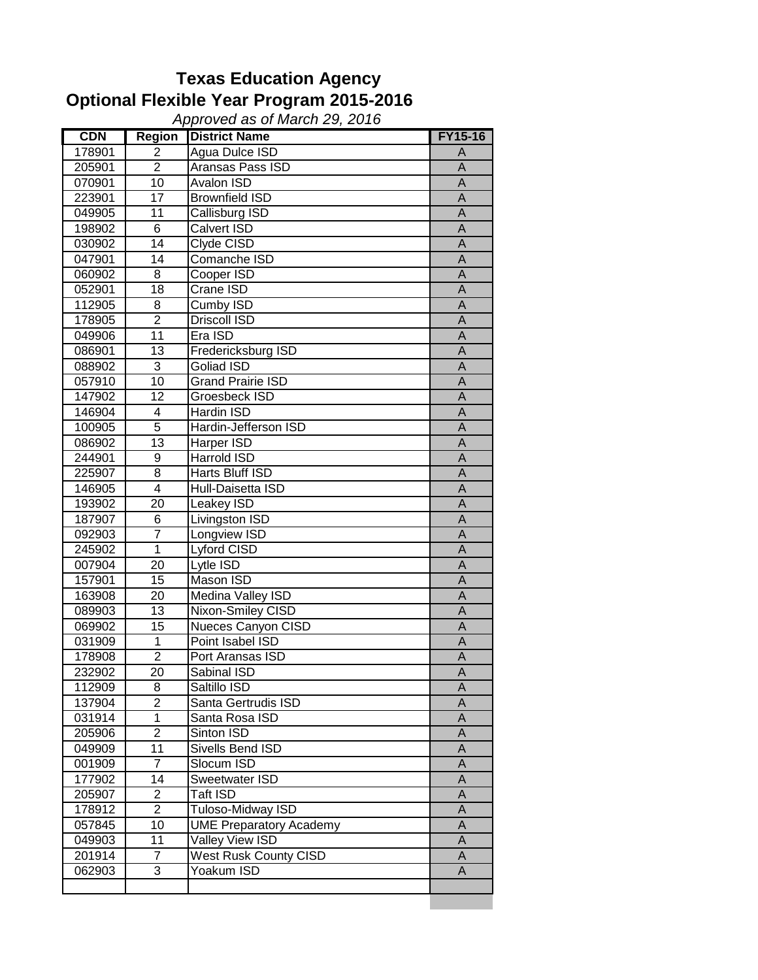## **Texas Education Agency Optional Flexible Year Program 2015-2016**

**CDN** Region District Name FY15-16<br>178901 2 Aqua Dulce ISD A 2 Agua Dulce ISD A 205901 2 Aransas Pass ISD<br>070901 10 Avalon ISD A 070901 | 10 Avalon ISD<br>223901 | 17 Brownfield ISD | A 223901 17 Brownfield ISD<br>049905 11 Callisburg ISD A Callisburg ISD 198902 6 Calvert ISD A 030902 14 Clyde CISD A 047901 14 Comanche ISD<br>060902 8 Cooper ISD A Cooper ISD A 052901 | 18 | Crane ISD | A<br>112905 | 8 | Cumby ISD | A 112905 8 Cumby ISD A<br>178905 2 Driscoll ISD A 178905 2 Driscoll ISD A<br>049906 11 Era ISD A 049906 | 11 |Era ISD | A 086901 13 Fredericksburg ISD A 088902 3 Goliad ISD A 057910 10 Grand Prairie ISD<br>147902 12 Groesbeck ISD A 147902 12 Groesbeck ISD<br>146904 4 Hardin ISD 4 Hardin ISD<br>5 Hardin-Jefferson ISD<br>A 100905 5 Hardin-Jefferson ISD A 086902 13 Harper ISD<br>244901 9 Harrold ISD A 9 Harrold ISD 225907 8 Harts Bluff ISD A 146905 4 Hull-Daisetta ISD A 193902 20 Leakey ISD A 187907 6 Livingston ISD A<br>092903 7 Longview ISD A Longview ISD 245902 1 Lyford CISD A 007904 20 Lytle ISD A 157901 15 Mason ISD<br>163908 20 Medina Valley ISD A Medina Valley ISD **A** 089903 13 Nixon-Smiley CISD<br>069902 15 Nueces Canyon CISD A 15 Nueces Canyon CISD 031909 1 Point Isabel ISD A 178908 2 Port Aransas ISD<br>232902 20 Sabinal ISD A 232902 20 Sabinal ISD<br>112909 8 Saltillo ISD 8 Saltillo ISD A 137904 2 Santa Gertrudis ISD<br>031914 1 Santa Rosa ISD A 031914 1 Santa Rosa ISD<br>205906 2 Sinton ISD A 205906 2 Sinton ISD<br>049909 11 Sivells Bend ISD A 049909 11 Sivells Bend ISD<br>001909 7 Slocum ISD A Slocum ISD A 177902 14 Sweetwater ISD A 205907 2 Taft ISD 4 A 178912 2 Tuloso-Midway ISD A 057845 10 UME Preparatory Academy 14 049903 1 11 Valley View ISD 1 A 201914 7 West Rusk County CISD A 062903 3 Yoakum ISD A *Approved as of March 29, 2016*